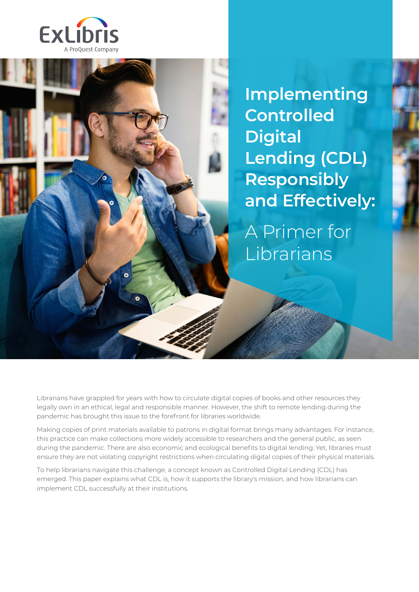

**Implementing Controlled Digital Lending (CDL) Responsibly and Effectively:**

A Primer for Librarians

Librarians have grappled for years with how to circulate digital copies of books and other resources they legally own in an ethical, legal and responsible manner. However, the shift to remote lending during the pandemic has brought this issue to the forefront for libraries worldwide.

Making copies of print materials available to patrons in digital format brings many advantages. For instance, this practice can make collections more widely accessible to researchers and the general public, as seen during the pandemic. There are also economic and ecological benefits to digital lending. Yet, libraries must ensure they are not violating copyright restrictions when circulating digital copies of their physical materials.

To help librarians navigate this challenge, a concept known as Controlled Digital Lending (CDL) has emerged. This paper explains what CDL is, how it supports the library's mission, and how librarians can implement CDL successfully at their institutions.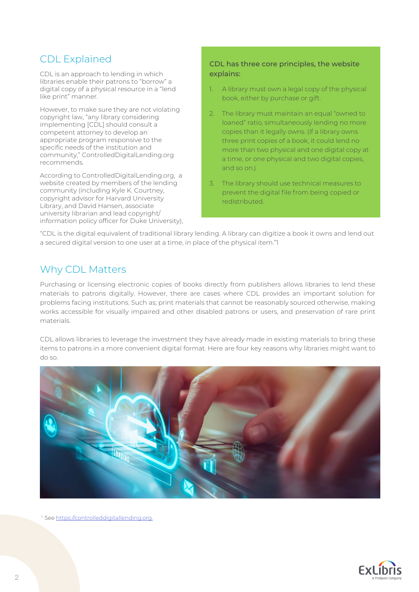# CDL Explained

CDL is an approach to lending in which libraries enable their patrons to "borrow" a digital copy of a physical resource in a "lend like print" manner.

However, to make sure they are not violating copyright law, "any library considering implementing [CDL] should consult a competent attorney to develop an appropriate program responsive to the specific needs of the institution and community," ControlledDigitalLending.org recommends.

According to ControlledDigitalLending.org, a website created by members of the lending community (including Kyle K. Courtney, copyright advisor for Harvard University Library, and David Hansen, associate university librarian and lead copyright/ information policy officer for Duke University),

#### CDL has three core principles, the website explains:

- 1. A library must own a legal copy of the physical book, either by purchase or gift.
- 2. The library must maintain an equal "owned to loaned" ratio, simultaneously lending no more copies than it legally owns. (If a library owns three print copies of a book, it could lend no more than two physical and one digital copy at a time, or one physical and two digital copies, and so  $\circ$ n $\prime$ .
- 3. The library should use technical measures to prevent the digital file from being copied or redistributed.

"CDL is the digital equivalent of traditional library lending. A library can digitize a book it owns and lend out a secured digital version to one user at a time, in place of the physical item."1

# Why CDL Matters

Purchasing or licensing electronic copies of books directly from publishers allows libraries to lend these materials to patrons digitally. However, there are cases where CDL provides an important solution for problems facing institutions. Such as; print materials that cannot be reasonably sourced otherwise, making works accessible for visually impaired and other disabled patrons or users, and preservation of rare print materials.

CDL allows libraries to leverage the investment they have already made in existing materials to bring these items to patrons in a more convenient digital format. Here are four key reasons why libraries might want to do so.



<sup>1.</sup> See [https://controlleddigitallending.org.](https://controlleddigitallending.org/)

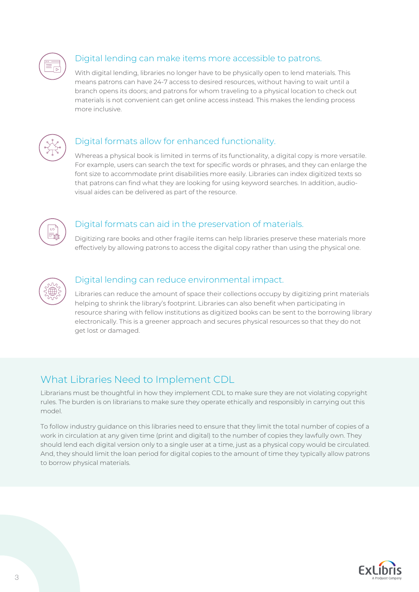

## Digital lending can make items more accessible to patrons.

With digital lending, libraries no longer have to be physically open to lend materials. This means patrons can have 24-7 access to desired resources, without having to wait until a branch opens its doors; and patrons for whom traveling to a physical location to check out materials is not convenient can get online access instead. This makes the lending process more inclusive.



## Digital formats allow for enhanced functionality.

Whereas a physical book is limited in terms of its functionality, a digital copy is more versatile. For example, users can search the text for specific words or phrases, and they can enlarge the font size to accommodate print disabilities more easily. Libraries can index digitized texts so that patrons can find what they are looking for using keyword searches. In addition, audiovisual aides can be delivered as part of the resource.



## Digital formats can aid in the preservation of materials.

Digitizing rare books and other fragile items can help libraries preserve these materials more effectively by allowing patrons to access the digital copy rather than using the physical one.



#### Digital lending can reduce environmental impact.

Libraries can reduce the amount of space their collections occupy by digitizing print materials helping to shrink the library's footprint. Libraries can also benefit when participating in resource sharing with fellow institutions as digitized books can be sent to the borrowing library electronically. This is a greener approach and secures physical resources so that they do not get lost or damaged.

# What Libraries Need to Implement CDL

Librarians must be thoughtful in how they implement CDL to make sure they are not violating copyright rules. The burden is on librarians to make sure they operate ethically and responsibly in carrying out this model.

To follow industry guidance on this libraries need to ensure that they limit the total number of copies of a work in circulation at any given time (print and digital) to the number of copies they lawfully own. They should lend each digital version only to a single user at a time, just as a physical copy would be circulated. And, they should limit the loan period for digital copies to the amount of time they typically allow patrons to borrow physical materials.

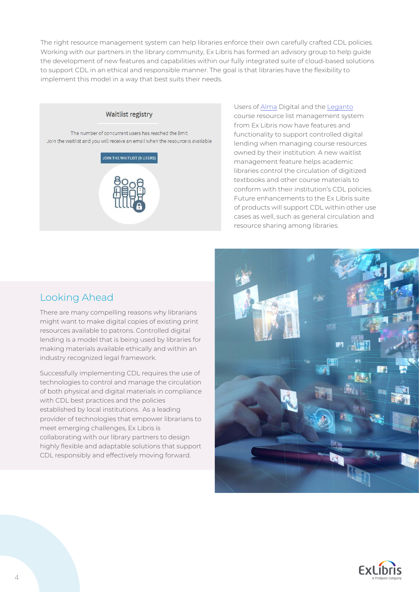The right resource management system can help libraries enforce their own carefully crafted CDL policies. Working with our partners in the library community, Ex Libris has formed an advisory group to help guide the development of new features and capabilities within our fully integrated suite of cloud-based solutions to support CDL in an ethical and responsible manner. The goal is that libraries have the flexibility to implement this model in a way that best suits their needs.



Users of [Alma](https://exlibrisgroup.com/products/alma-library-services-platform/) Digital and the [Leganto](https://exlibrisgroup.com/products/leganto-reading-list-management-system/) course resource list management system from Ex Libris now have features and functionality to support controlled digital lending when managing course resources owned by their institution. A new waitlist management feature helps academic libraries control the circulation of digitized textbooks and other course materials to conform with their institution's CDL policies. Future enhancements to the Ex Libris suite of products will support CDL within other use cases as well, such as general circulation and resource sharing among libraries.

# Looking Ahead

There are many compelling reasons why librarians might want to make digital copies of existing print resources available to patrons. Controlled digital lending is a model that is being used by libraries for making materials available ethically and within an industry recognized legal framework.

Successfully implementing CDL requires the use of technologies to control and manage the circulation of both physical and digital materials in compliance with CDL best practices and the policies established by local institutions. As a leading provider of technologies that empower librarians to meet emerging challenges, Ex Libris is collaborating with our library partners to design highly flexible and adaptable solutions that support CDL responsibly and effectively moving forward.